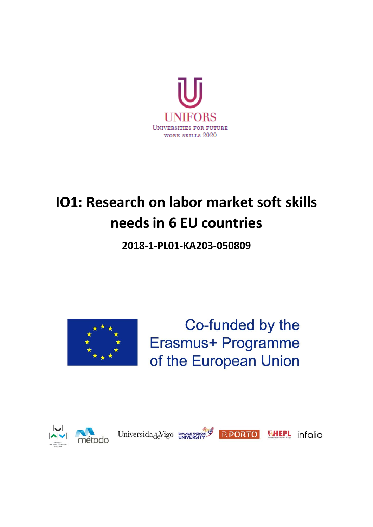

# **IO1: Research on labor market soft skills needs in 6 EU countries**

**2018-1-PL01-KA203-050809**



Co-funded by the Erasmus+ Programme of the European Union









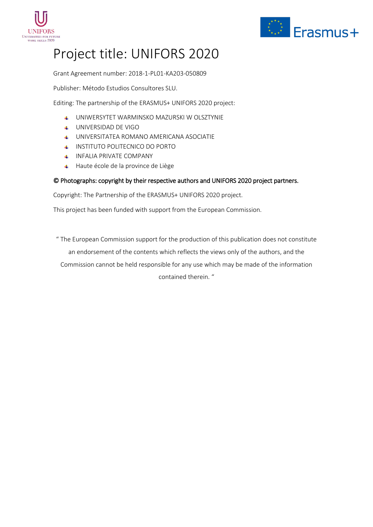



## Project title: UNIFORS 2020

Grant Agreement number: 2018-1-PL01-KA203-050809

Publisher: Método Estudios Consultores SLU.

Editing: The partnership of the ERASMUS+ UNIFORS 2020 project:

- UNIWERSYTET WARMINSKO MAZURSKI W OLSZTYNIE
- UNIVERSIDAD DE VIGO
- UNIVERSITATEA ROMANO AMERICANA ASOCIATIE
- INSTITUTO POLITECNICO DO PORTO
- **INFALIA PRIVATE COMPANY**
- + Haute école de la province de Liège

#### © Photographs: copyright by their respective authors and UNIFORS 2020 project partners.

Copyright: The Partnership of the ERASMUS+ UNIFORS 2020 project.

This project has been funded with support from the European Commission.

" The European Commission support for the production of this publication does not constitute an endorsement of the contents which reflects the views only of the authors, and the Commission cannot be held responsible for any use which may be made of the information contained therein. "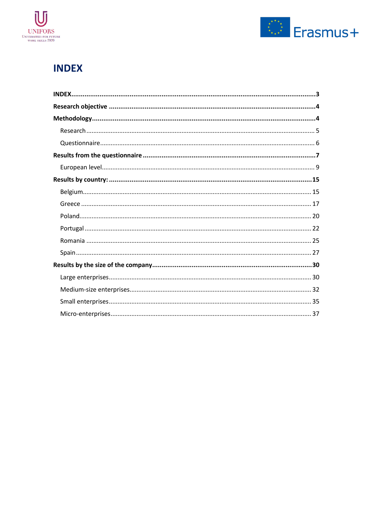



## <span id="page-2-0"></span>**INDEX**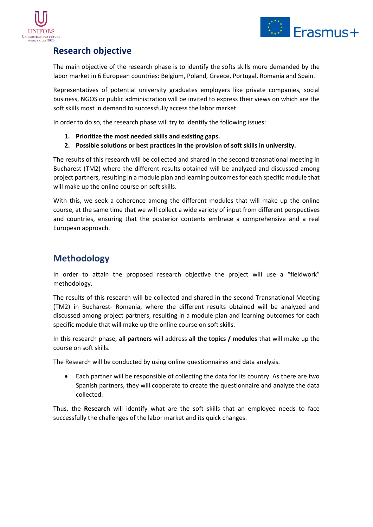



## <span id="page-3-0"></span>**Research objective**

The main objective of the research phase is to identify the softs skills more demanded by the labor market in 6 European countries: Belgium, Poland, Greece, Portugal, Romania and Spain.

Representatives of potential university graduates employers like private companies, social business, NGOS or public administration will be invited to express their views on which are the soft skills most in demand to successfully access the labor market.

In order to do so, the research phase will try to identify the following issues:

- **1. Prioritize the most needed skills and existing gaps.**
- **2. Possible solutions or best practices in the provision of soft skills in university.**

The results of this research will be collected and shared in the second transnational meeting in Bucharest (TM2) where the different results obtained will be analyzed and discussed among project partners, resulting in a module plan and learning outcomes for each specific module that will make up the online course on soft skills.

With this, we seek a coherence among the different modules that will make up the online course, at the same time that we will collect a wide variety of input from different perspectives and countries, ensuring that the posterior contents embrace a comprehensive and a real European approach.

## <span id="page-3-1"></span>**Methodology**

In order to attain the proposed research objective the project will use a "fieldwork" methodology.

The results of this research will be collected and shared in the second Transnational Meeting (TM2) in Bucharest- Romania, where the different results obtained will be analyzed and discussed among project partners, resulting in a module plan and learning outcomes for each specific module that will make up the online course on soft skills.

In this research phase, **all partners** will address **all the topics / modules** that will make up the course on soft skills.

The Research will be conducted by using online questionnaires and data analysis.

• Each partner will be responsible of collecting the data for its country. As there are two Spanish partners, they will cooperate to create the questionnaire and analyze the data collected.

Thus, the **Research** will identify what are the soft skills that an employee needs to face successfully the challenges of the labor market and its quick changes.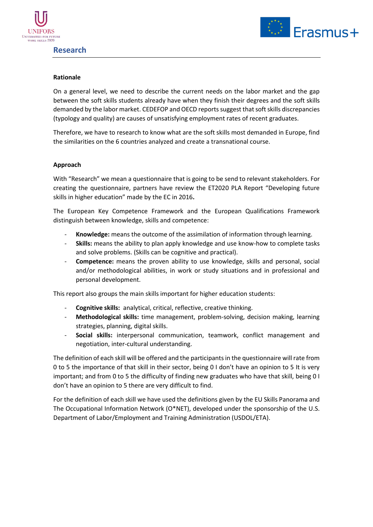



#### <span id="page-4-0"></span>**Rationale**

On a general level, we need to describe the current needs on the labor market and the gap between the soft skills students already have when they finish their degrees and the soft skills demanded by the labor market. CEDEFOP and OECD reports suggest that soft skills discrepancies (typology and quality) are causes of unsatisfying employment rates of recent graduates.

Therefore, we have to research to know what are the soft skills most demanded in Europe, find the similarities on the 6 countries analyzed and create a transnational course.

#### **Approach**

With "Research" we mean a questionnaire that is going to be send to relevant stakeholders. For creating the questionnaire, partners have review the ET2020 PLA Report "Developing future skills in higher education" made by the EC in 2016**.** 

The European Key Competence Framework and the European Qualifications Framework distinguish between knowledge, skills and competence:

- Knowledge: means the outcome of the assimilation of information through learning.
- **Skills:** means the ability to plan apply knowledge and use know-how to complete tasks and solve problems. (Skills can be cognitive and practical).
- **Competence:** means the proven ability to use knowledge, skills and personal, social and/or methodological abilities, in work or study situations and in professional and personal development.

This report also groups the main skills important for higher education students:

- **Cognitive skills:** analytical, critical, reflective, creative thinking.
- **Methodological skills:** time management, problem-solving, decision making, learning strategies, planning, digital skills.
- Social skills: interpersonal communication, teamwork, conflict management and negotiation, inter-cultural understanding.

The definition of each skill will be offered and the participants in the questionnaire will rate from 0 to 5 the importance of that skill in their sector, being 0 I don't have an opinion to 5 It is very important; and from 0 to 5 the difficulty of finding new graduates who have that skill, being 0 I don't have an opinion to 5 there are very difficult to find.

For the definition of each skill we have used the definitions given by the EU Skills Panorama and The Occupational Information Network (O\*NET), developed under the sponsorship of the U.S. Department of Labor/Employment and Training Administration (USDOL/ETA).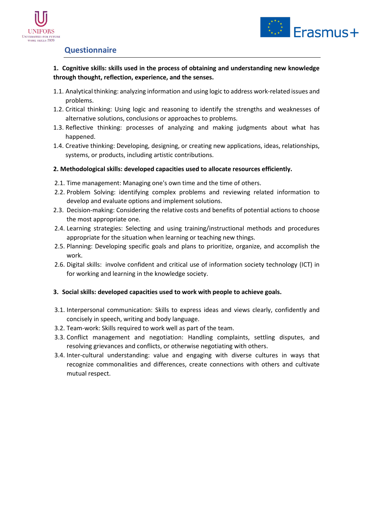



#### <span id="page-5-0"></span>**Questionnaire**

**1. Cognitive skills: skills used in the process of obtaining and understanding new knowledge through thought, reflection, experience, and the senses.** 

- 1.1. Analytical thinking: analyzing information and using logic to address work-related issues and problems.
- 1.2. Critical thinking: Using logic and reasoning to identify the strengths and weaknesses of alternative solutions, conclusions or approaches to problems.
- 1.3. Reflective thinking: processes of analyzing and making judgments about what has happened.
- 1.4. Creative thinking: Developing, designing, or creating new applications, ideas, relationships, systems, or products, including artistic contributions.

#### **2. Methodological skills: developed capacities used to allocate resources efficiently.**

- 2.1. Time management: Managing one's own time and the time of others.
- 2.2. Problem Solving: identifying complex problems and reviewing related information to develop and evaluate options and implement solutions.
- 2.3. Decision-making: Considering the relative costs and benefits of potential actions to choose the most appropriate one.
- 2.4. Learning strategies: Selecting and using training/instructional methods and procedures appropriate for the situation when learning or teaching new things.
- 2.5. Planning: Developing specific goals and plans to prioritize, organize, and accomplish the work.
- 2.6. Digital skills: involve confident and critical use of information society technology (ICT) in for working and learning in the knowledge society.

#### **3. Social skills: developed capacities used to work with people to achieve goals.**

- 3.1. Interpersonal communication: Skills to express ideas and views clearly, confidently and concisely in speech, writing and body language.
- 3.2. Team-work: Skills required to work well as part of the team.
- 3.3. Conflict management and negotiation: Handling complaints, settling disputes, and resolving grievances and conflicts, or otherwise negotiating with others.
- 3.4. Inter-cultural understanding: value and engaging with diverse cultures in ways that recognize commonalities and differences, create connections with others and cultivate mutual respect.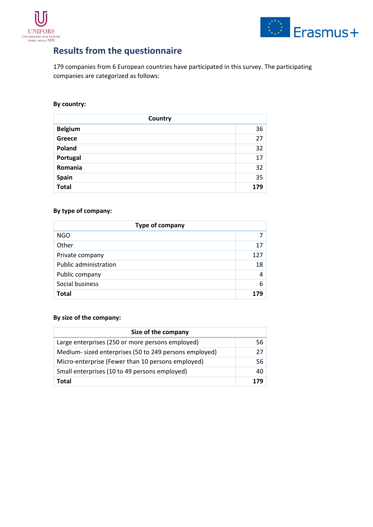



## <span id="page-6-0"></span>**Results from the questionnaire**

179 companies from 6 European countries have participated in this survey. The participating companies are categorized as follows:

#### **By country:**

| Country        |     |
|----------------|-----|
| <b>Belgium</b> | 36  |
| Greece         | 27  |
| Poland         | 32  |
| Portugal       | 17  |
| Romania        | 32  |
| Spain          | 35  |
| Total          | 179 |

#### **By type of company:**

| Type of company              |     |
|------------------------------|-----|
| <b>NGO</b>                   |     |
| Other                        | 17  |
| Private company              | 127 |
| <b>Public administration</b> | 18  |
| Public company               | 4   |
| Social business              | 6   |
| <b>Total</b>                 | 179 |

#### **By size of the company:**

| Size of the company                                   |      |
|-------------------------------------------------------|------|
| Large enterprises (250 or more persons employed)      | 56 l |
| Medium-sized enterprises (50 to 249 persons employed) | 27 I |
| Micro-enterprise (Fewer than 10 persons employed)     | 56   |
| Small enterprises (10 to 49 persons employed)         | 40   |
| <b>Total</b>                                          | 179  |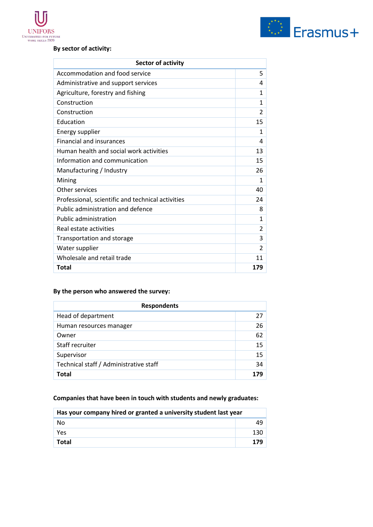

#### **By sector of activity:**

| <b>Sector of activity</b>                         |                         |
|---------------------------------------------------|-------------------------|
| Accommodation and food service                    | 5                       |
| Administrative and support services               | 4                       |
| Agriculture, forestry and fishing                 | 1                       |
| Construction                                      | $\mathbf{1}$            |
| Construction                                      | $\overline{2}$          |
| Education                                         | 15                      |
| <b>Energy supplier</b>                            | $\mathbf{1}$            |
| <b>Financial and insurances</b>                   | 4                       |
| Human health and social work activities           | 13                      |
| Information and communication                     | 15                      |
| Manufacturing / Industry                          | 26                      |
| Mining                                            | $\mathbf{1}$            |
| Other services                                    | 40                      |
| Professional, scientific and technical activities | 24                      |
| Public administration and defence                 | 8                       |
| Public administration                             | $\mathbf{1}$            |
| Real estate activities                            | $\overline{2}$          |
| Transportation and storage                        | 3                       |
| Water supplier                                    | $\overline{\mathbf{c}}$ |
| Wholesale and retail trade                        | 11                      |
| <b>Total</b>                                      | 179                     |

#### **By the person who answered the survey:**

| <b>Respondents</b>                     |    |
|----------------------------------------|----|
| Head of department                     | 27 |
| Human resources manager                | 26 |
| Owner                                  | 62 |
| Staff recruiter                        | 15 |
| Supervisor                             | 15 |
| Technical staff / Administrative staff | 34 |
| Total                                  |    |

#### **Companies that have been in touch with students and newly graduates:**

| Has your company hired or granted a university student last year |     |
|------------------------------------------------------------------|-----|
| No                                                               |     |
| Yes                                                              | 130 |
| <b>Total</b>                                                     | 179 |

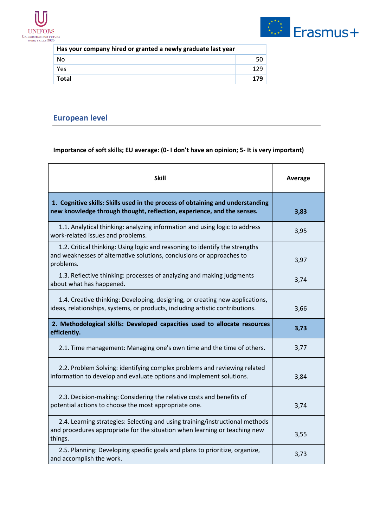



| Has your company hired or granted a newly graduate last year |     |
|--------------------------------------------------------------|-----|
| No                                                           | 50  |
| Yes                                                          | 129 |
| <b>Total</b>                                                 | 179 |

## <span id="page-8-0"></span>**European level**

| <b>Skill</b>                                                                                                                                                          | Average |
|-----------------------------------------------------------------------------------------------------------------------------------------------------------------------|---------|
| 1. Cognitive skills: Skills used in the process of obtaining and understanding<br>new knowledge through thought, reflection, experience, and the senses.              | 3,83    |
| 1.1. Analytical thinking: analyzing information and using logic to address<br>work-related issues and problems.                                                       | 3,95    |
| 1.2. Critical thinking: Using logic and reasoning to identify the strengths<br>and weaknesses of alternative solutions, conclusions or approaches to<br>problems.     | 3,97    |
| 1.3. Reflective thinking: processes of analyzing and making judgments<br>about what has happened.                                                                     | 3,74    |
| 1.4. Creative thinking: Developing, designing, or creating new applications,<br>ideas, relationships, systems, or products, including artistic contributions.         | 3,66    |
| 2. Methodological skills: Developed capacities used to allocate resources<br>efficiently.                                                                             | 3,73    |
| 2.1. Time management: Managing one's own time and the time of others.                                                                                                 | 3,77    |
| 2.2. Problem Solving: identifying complex problems and reviewing related<br>information to develop and evaluate options and implement solutions.                      | 3,84    |
| 2.3. Decision-making: Considering the relative costs and benefits of<br>potential actions to choose the most appropriate one.                                         | 3,74    |
| 2.4. Learning strategies: Selecting and using training/instructional methods<br>and procedures appropriate for the situation when learning or teaching new<br>things. | 3,55    |
| 2.5. Planning: Developing specific goals and plans to prioritize, organize,<br>and accomplish the work.                                                               | 3,73    |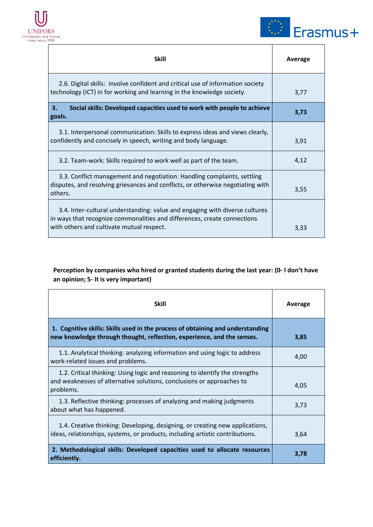



 $\top$ 

 $\overline{\phantom{0}}$ 

| <b>Skill</b>                                                                                                                                                                                         | Average |
|------------------------------------------------------------------------------------------------------------------------------------------------------------------------------------------------------|---------|
| 2.6. Digital skills: involve confident and critical use of information society<br>technology (ICT) in for working and learning in the knowledge society.                                             | 3,77    |
| 3.<br>Social skills: Developed capacities used to work with people to achieve<br>goals.                                                                                                              | 3,73    |
| 3.1. Interpersonal communication: Skills to express ideas and views clearly,<br>confidently and concisely in speech, writing and body language.                                                      | 3,91    |
| 3.2. Team-work: Skills required to work well as part of the team.                                                                                                                                    | 4,12    |
| 3.3. Conflict management and negotiation: Handling complaints, settling<br>disputes, and resolving grievances and conflicts, or otherwise negotiating with<br>others.                                | 3,55    |
| 3.4. Inter-cultural understanding: value and engaging with diverse cultures<br>in ways that recognize commonalities and differences, create connections<br>with others and cultivate mutual respect. | 3,33    |

#### **Perception by companies who hired or granted students during the last year: (0- I don't have an opinion; 5- It is very important)**

| <b>Skill</b>                                                                                                                                                      | Average |
|-------------------------------------------------------------------------------------------------------------------------------------------------------------------|---------|
| 1. Cognitive skills: Skills used in the process of obtaining and understanding<br>new knowledge through thought, reflection, experience, and the senses.          | 3,85    |
| 1.1. Analytical thinking: analyzing information and using logic to address<br>work-related issues and problems.                                                   | 4,00    |
| 1.2. Critical thinking: Using logic and reasoning to identify the strengths<br>and weaknesses of alternative solutions, conclusions or approaches to<br>problems. | 4,05    |
| 1.3. Reflective thinking: processes of analyzing and making judgments<br>about what has happened.                                                                 | 3,73    |
| 1.4. Creative thinking: Developing, designing, or creating new applications,<br>ideas, relationships, systems, or products, including artistic contributions.     | 3,64    |
| 2. Methodological skills: Developed capacities used to allocate resources<br>efficiently.                                                                         | 3,78    |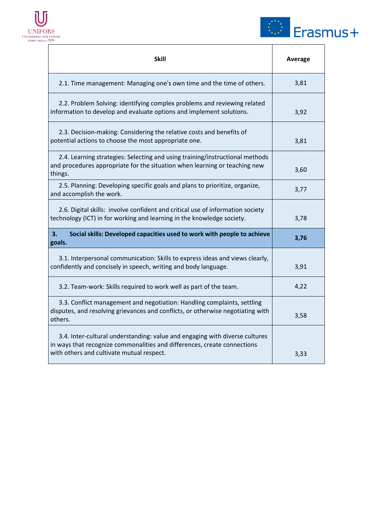



 $\overline{\phantom{0}}$ 

| <b>Skill</b>                                                                                                                                                                                         | Average |
|------------------------------------------------------------------------------------------------------------------------------------------------------------------------------------------------------|---------|
| 2.1. Time management: Managing one's own time and the time of others.                                                                                                                                | 3,81    |
| 2.2. Problem Solving: identifying complex problems and reviewing related<br>information to develop and evaluate options and implement solutions.                                                     | 3,92    |
| 2.3. Decision-making: Considering the relative costs and benefits of<br>potential actions to choose the most appropriate one.                                                                        | 3,81    |
| 2.4. Learning strategies: Selecting and using training/instructional methods<br>and procedures appropriate for the situation when learning or teaching new<br>things.                                | 3,60    |
| 2.5. Planning: Developing specific goals and plans to prioritize, organize,<br>and accomplish the work.                                                                                              | 3,77    |
| 2.6. Digital skills: involve confident and critical use of information society<br>technology (ICT) in for working and learning in the knowledge society.                                             | 3,78    |
| 3.<br>Social skills: Developed capacities used to work with people to achieve<br>goals.                                                                                                              | 3,76    |
| 3.1. Interpersonal communication: Skills to express ideas and views clearly,<br>confidently and concisely in speech, writing and body language.                                                      | 3,91    |
| 3.2. Team-work: Skills required to work well as part of the team.                                                                                                                                    | 4,22    |
| 3.3. Conflict management and negotiation: Handling complaints, settling<br>disputes, and resolving grievances and conflicts, or otherwise negotiating with<br>others.                                | 3,58    |
| 3.4. Inter-cultural understanding: value and engaging with diverse cultures<br>in ways that recognize commonalities and differences, create connections<br>with others and cultivate mutual respect. | 3,33    |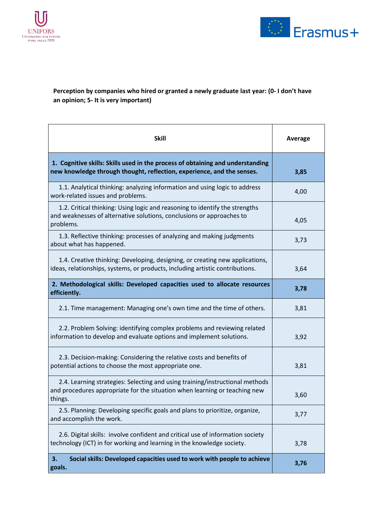



#### **Perception by companies who hired or granted a newly graduate last year: (0- I don't have an opinion; 5- It is very important)**

| Skill                                                                                                                                                                 | <b>Average</b> |
|-----------------------------------------------------------------------------------------------------------------------------------------------------------------------|----------------|
| 1. Cognitive skills: Skills used in the process of obtaining and understanding<br>new knowledge through thought, reflection, experience, and the senses.              | 3,85           |
| 1.1. Analytical thinking: analyzing information and using logic to address<br>work-related issues and problems.                                                       | 4,00           |
| 1.2. Critical thinking: Using logic and reasoning to identify the strengths<br>and weaknesses of alternative solutions, conclusions or approaches to<br>problems.     | 4,05           |
| 1.3. Reflective thinking: processes of analyzing and making judgments<br>about what has happened.                                                                     | 3,73           |
| 1.4. Creative thinking: Developing, designing, or creating new applications,<br>ideas, relationships, systems, or products, including artistic contributions.         | 3,64           |
| 2. Methodological skills: Developed capacities used to allocate resources<br>efficiently.                                                                             | 3,78           |
| 2.1. Time management: Managing one's own time and the time of others.                                                                                                 | 3,81           |
| 2.2. Problem Solving: identifying complex problems and reviewing related<br>information to develop and evaluate options and implement solutions.                      | 3,92           |
| 2.3. Decision-making: Considering the relative costs and benefits of<br>potential actions to choose the most appropriate one.                                         | 3,81           |
| 2.4. Learning strategies: Selecting and using training/instructional methods<br>and procedures appropriate for the situation when learning or teaching new<br>things. | 3,60           |
| 2.5. Planning: Developing specific goals and plans to prioritize, organize,<br>and accomplish the work.                                                               | 3,77           |
| 2.6. Digital skills: involve confident and critical use of information society<br>technology (ICT) in for working and learning in the knowledge society.              | 3,78           |
| Social skills: Developed capacities used to work with people to achieve<br>3.<br>goals.                                                                               | 3,76           |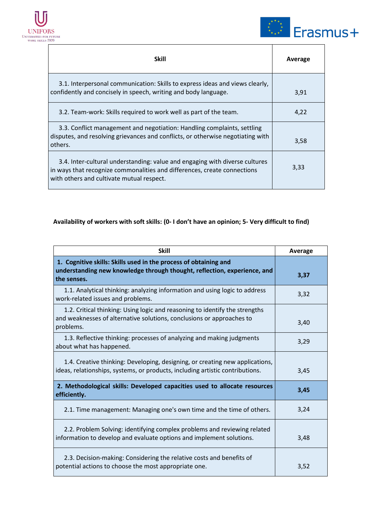



| <b>Skill</b>                                                                                                                                                                                         | Average |
|------------------------------------------------------------------------------------------------------------------------------------------------------------------------------------------------------|---------|
| 3.1. Interpersonal communication: Skills to express ideas and views clearly,<br>confidently and concisely in speech, writing and body language.                                                      | 3,91    |
| 3.2. Team-work: Skills required to work well as part of the team.                                                                                                                                    | 4,22    |
| 3.3. Conflict management and negotiation: Handling complaints, settling<br>disputes, and resolving grievances and conflicts, or otherwise negotiating with<br>others.                                | 3,58    |
| 3.4. Inter-cultural understanding: value and engaging with diverse cultures<br>in ways that recognize commonalities and differences, create connections<br>with others and cultivate mutual respect. | 3,33    |

| <b>Skill</b>                                                                                                                                                      | Average |
|-------------------------------------------------------------------------------------------------------------------------------------------------------------------|---------|
| 1. Cognitive skills: Skills used in the process of obtaining and<br>understanding new knowledge through thought, reflection, experience, and<br>the senses.       | 3,37    |
| 1.1. Analytical thinking: analyzing information and using logic to address<br>work-related issues and problems.                                                   | 3,32    |
| 1.2. Critical thinking: Using logic and reasoning to identify the strengths<br>and weaknesses of alternative solutions, conclusions or approaches to<br>problems. | 3,40    |
| 1.3. Reflective thinking: processes of analyzing and making judgments<br>about what has happened.                                                                 | 3,29    |
| 1.4. Creative thinking: Developing, designing, or creating new applications,<br>ideas, relationships, systems, or products, including artistic contributions.     | 3,45    |
| 2. Methodological skills: Developed capacities used to allocate resources<br>efficiently.                                                                         | 3,45    |
| 2.1. Time management: Managing one's own time and the time of others.                                                                                             | 3,24    |
| 2.2. Problem Solving: identifying complex problems and reviewing related<br>information to develop and evaluate options and implement solutions.                  | 3,48    |
| 2.3. Decision-making: Considering the relative costs and benefits of<br>potential actions to choose the most appropriate one.                                     | 3,52    |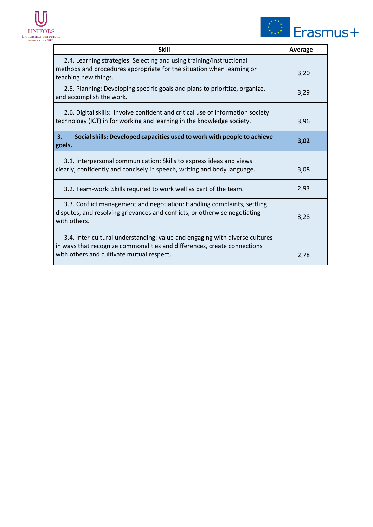



| <b>Skill</b>                                                                                                                                                                                         | Average |
|------------------------------------------------------------------------------------------------------------------------------------------------------------------------------------------------------|---------|
| 2.4. Learning strategies: Selecting and using training/instructional<br>methods and procedures appropriate for the situation when learning or<br>teaching new things.                                | 3,20    |
| 2.5. Planning: Developing specific goals and plans to prioritize, organize,<br>and accomplish the work.                                                                                              | 3,29    |
| 2.6. Digital skills: involve confident and critical use of information society<br>technology (ICT) in for working and learning in the knowledge society.                                             | 3,96    |
| 3.<br>Social skills: Developed capacities used to work with people to achieve<br>goals.                                                                                                              | 3,02    |
| 3.1. Interpersonal communication: Skills to express ideas and views<br>clearly, confidently and concisely in speech, writing and body language.                                                      | 3,08    |
| 3.2. Team-work: Skills required to work well as part of the team.                                                                                                                                    | 2,93    |
| 3.3. Conflict management and negotiation: Handling complaints, settling<br>disputes, and resolving grievances and conflicts, or otherwise negotiating<br>with others.                                | 3,28    |
| 3.4. Inter-cultural understanding: value and engaging with diverse cultures<br>in ways that recognize commonalities and differences, create connections<br>with others and cultivate mutual respect. | 2,78    |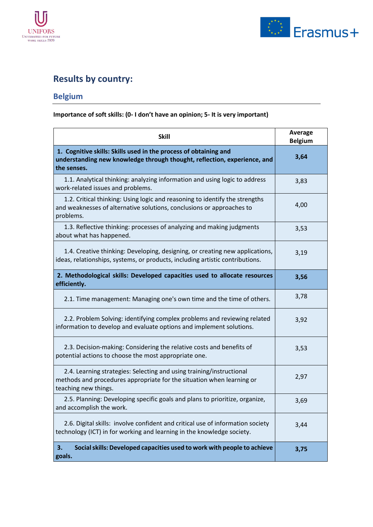



## <span id="page-14-0"></span>**Results by country:**

## <span id="page-14-1"></span>**Belgium**

| <b>Skill</b>                                                                                                                                                          | <b>Average</b><br><b>Belgium</b> |
|-----------------------------------------------------------------------------------------------------------------------------------------------------------------------|----------------------------------|
| 1. Cognitive skills: Skills used in the process of obtaining and<br>understanding new knowledge through thought, reflection, experience, and<br>the senses.           | 3,64                             |
| 1.1. Analytical thinking: analyzing information and using logic to address<br>work-related issues and problems.                                                       | 3,83                             |
| 1.2. Critical thinking: Using logic and reasoning to identify the strengths<br>and weaknesses of alternative solutions, conclusions or approaches to<br>problems.     | 4,00                             |
| 1.3. Reflective thinking: processes of analyzing and making judgments<br>about what has happened.                                                                     | 3,53                             |
| 1.4. Creative thinking: Developing, designing, or creating new applications,<br>ideas, relationships, systems, or products, including artistic contributions.         | 3,19                             |
| 2. Methodological skills: Developed capacities used to allocate resources<br>efficiently.                                                                             | 3,56                             |
| 2.1. Time management: Managing one's own time and the time of others.                                                                                                 | 3,78                             |
| 2.2. Problem Solving: identifying complex problems and reviewing related<br>information to develop and evaluate options and implement solutions.                      | 3,92                             |
| 2.3. Decision-making: Considering the relative costs and benefits of<br>potential actions to choose the most appropriate one.                                         | 3,53                             |
| 2.4. Learning strategies: Selecting and using training/instructional<br>methods and procedures appropriate for the situation when learning or<br>teaching new things. | 2,97                             |
| 2.5. Planning: Developing specific goals and plans to prioritize, organize,<br>and accomplish the work.                                                               | 3,69                             |
| 2.6. Digital skills: involve confident and critical use of information society<br>technology (ICT) in for working and learning in the knowledge society.              | 3,44                             |
| Social skills: Developed capacities used to work with people to achieve<br>3.<br>goals.                                                                               | 3,75                             |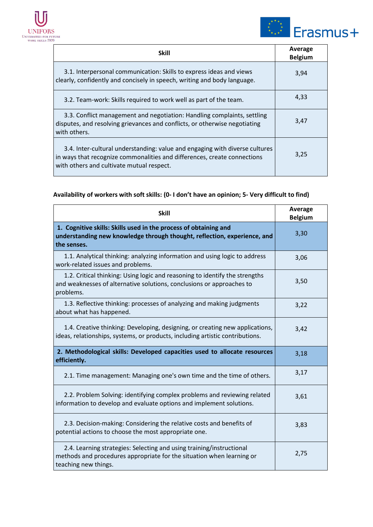



| <b>Skill</b>                                                                                                                                                                                         | Average<br><b>Belgium</b> |
|------------------------------------------------------------------------------------------------------------------------------------------------------------------------------------------------------|---------------------------|
| 3.1. Interpersonal communication: Skills to express ideas and views<br>clearly, confidently and concisely in speech, writing and body language.                                                      | 3,94                      |
| 3.2. Team-work: Skills required to work well as part of the team.                                                                                                                                    | 4,33                      |
| 3.3. Conflict management and negotiation: Handling complaints, settling<br>disputes, and resolving grievances and conflicts, or otherwise negotiating<br>with others.                                | 3,47                      |
| 3.4. Inter-cultural understanding: value and engaging with diverse cultures<br>in ways that recognize commonalities and differences, create connections<br>with others and cultivate mutual respect. | 3,25                      |

| <b>Skill</b>                                                                                                                                                          | Average<br><b>Belgium</b> |
|-----------------------------------------------------------------------------------------------------------------------------------------------------------------------|---------------------------|
| 1. Cognitive skills: Skills used in the process of obtaining and<br>understanding new knowledge through thought, reflection, experience, and<br>the senses.           | 3,30                      |
| 1.1. Analytical thinking: analyzing information and using logic to address<br>work-related issues and problems.                                                       | 3,06                      |
| 1.2. Critical thinking: Using logic and reasoning to identify the strengths<br>and weaknesses of alternative solutions, conclusions or approaches to<br>problems.     | 3,50                      |
| 1.3. Reflective thinking: processes of analyzing and making judgments<br>about what has happened.                                                                     | 3,22                      |
| 1.4. Creative thinking: Developing, designing, or creating new applications,<br>ideas, relationships, systems, or products, including artistic contributions.         | 3,42                      |
| 2. Methodological skills: Developed capacities used to allocate resources<br>efficiently.                                                                             | 3,18                      |
| 2.1. Time management: Managing one's own time and the time of others.                                                                                                 | 3,17                      |
| 2.2. Problem Solving: identifying complex problems and reviewing related<br>information to develop and evaluate options and implement solutions.                      | 3,61                      |
| 2.3. Decision-making: Considering the relative costs and benefits of<br>potential actions to choose the most appropriate one.                                         | 3,83                      |
| 2.4. Learning strategies: Selecting and using training/instructional<br>methods and procedures appropriate for the situation when learning or<br>teaching new things. | 2,75                      |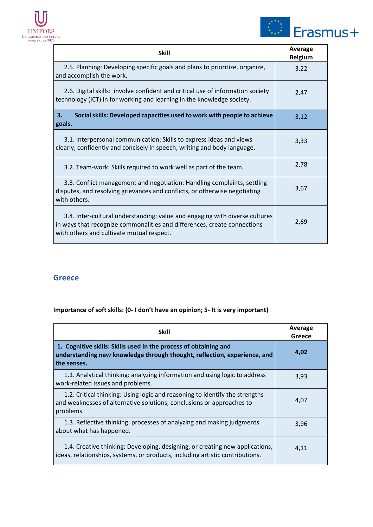



| <b>Skill</b>                                                                                                                                                                                         | Average<br><b>Belgium</b> |
|------------------------------------------------------------------------------------------------------------------------------------------------------------------------------------------------------|---------------------------|
| 2.5. Planning: Developing specific goals and plans to prioritize, organize,<br>and accomplish the work.                                                                                              | 3,22                      |
| 2.6. Digital skills: involve confident and critical use of information society<br>technology (ICT) in for working and learning in the knowledge society.                                             | 2,47                      |
| Social skills: Developed capacities used to work with people to achieve<br>3.<br>goals.                                                                                                              | 3,12                      |
| 3.1. Interpersonal communication: Skills to express ideas and views<br>clearly, confidently and concisely in speech, writing and body language.                                                      | 3,33                      |
| 3.2. Team-work: Skills required to work well as part of the team.                                                                                                                                    | 2,78                      |
| 3.3. Conflict management and negotiation: Handling complaints, settling<br>disputes, and resolving grievances and conflicts, or otherwise negotiating<br>with others.                                | 3,67                      |
| 3.4. Inter-cultural understanding: value and engaging with diverse cultures<br>in ways that recognize commonalities and differences, create connections<br>with others and cultivate mutual respect. | 2,69                      |

#### <span id="page-16-0"></span>**Greece**

| <b>Skill</b>                                                                                                                                                      | Average<br>Greece |
|-------------------------------------------------------------------------------------------------------------------------------------------------------------------|-------------------|
| 1. Cognitive skills: Skills used in the process of obtaining and<br>understanding new knowledge through thought, reflection, experience, and<br>the senses.       | 4,02              |
| 1.1. Analytical thinking: analyzing information and using logic to address<br>work-related issues and problems.                                                   | 3,93              |
| 1.2. Critical thinking: Using logic and reasoning to identify the strengths<br>and weaknesses of alternative solutions, conclusions or approaches to<br>problems. | 4.07              |
| 1.3. Reflective thinking: processes of analyzing and making judgments<br>about what has happened.                                                                 | 3,96              |
| 1.4. Creative thinking: Developing, designing, or creating new applications,<br>ideas, relationships, systems, or products, including artistic contributions.     | 4,11              |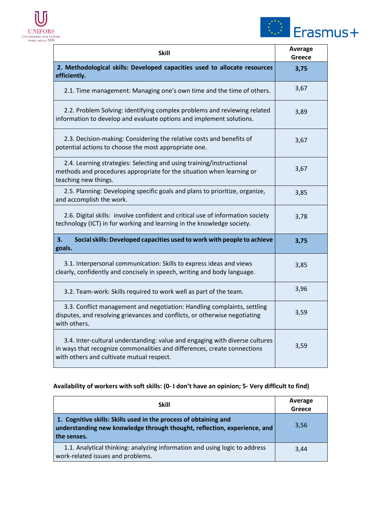



| <b>Skill</b>                                                                                                                                                                                         | <b>Average</b><br>Greece |
|------------------------------------------------------------------------------------------------------------------------------------------------------------------------------------------------------|--------------------------|
| 2. Methodological skills: Developed capacities used to allocate resources<br>efficiently.                                                                                                            | 3,75                     |
| 2.1. Time management: Managing one's own time and the time of others.                                                                                                                                | 3,67                     |
| 2.2. Problem Solving: identifying complex problems and reviewing related<br>information to develop and evaluate options and implement solutions.                                                     | 3,89                     |
| 2.3. Decision-making: Considering the relative costs and benefits of<br>potential actions to choose the most appropriate one.                                                                        | 3,67                     |
| 2.4. Learning strategies: Selecting and using training/instructional<br>methods and procedures appropriate for the situation when learning or<br>teaching new things.                                | 3,67                     |
| 2.5. Planning: Developing specific goals and plans to prioritize, organize,<br>and accomplish the work.                                                                                              | 3,85                     |
| 2.6. Digital skills: involve confident and critical use of information society<br>technology (ICT) in for working and learning in the knowledge society.                                             | 3,78                     |
| Social skills: Developed capacities used to work with people to achieve<br>З.<br>goals.                                                                                                              | 3,75                     |
| 3.1. Interpersonal communication: Skills to express ideas and views<br>clearly, confidently and concisely in speech, writing and body language.                                                      | 3,85                     |
| 3.2. Team-work: Skills required to work well as part of the team.                                                                                                                                    | 3,96                     |
| 3.3. Conflict management and negotiation: Handling complaints, settling<br>disputes, and resolving grievances and conflicts, or otherwise negotiating<br>with others.                                | 3,59                     |
| 3.4. Inter-cultural understanding: value and engaging with diverse cultures<br>in ways that recognize commonalities and differences, create connections<br>with others and cultivate mutual respect. | 3,59                     |

| <b>Skill</b>                                                                                                                                                | Average<br>Greece |
|-------------------------------------------------------------------------------------------------------------------------------------------------------------|-------------------|
| 1. Cognitive skills: Skills used in the process of obtaining and<br>understanding new knowledge through thought, reflection, experience, and<br>the senses. | 3,56              |
| 1.1. Analytical thinking: analyzing information and using logic to address<br>work-related issues and problems.                                             | 3.44              |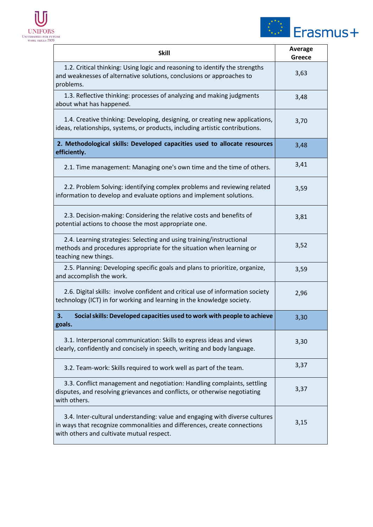



| <b>Skill</b>                                                                                                                                                                                         | Average<br><b>Greece</b> |
|------------------------------------------------------------------------------------------------------------------------------------------------------------------------------------------------------|--------------------------|
| 1.2. Critical thinking: Using logic and reasoning to identify the strengths<br>and weaknesses of alternative solutions, conclusions or approaches to<br>problems.                                    | 3,63                     |
| 1.3. Reflective thinking: processes of analyzing and making judgments<br>about what has happened.                                                                                                    | 3,48                     |
| 1.4. Creative thinking: Developing, designing, or creating new applications,<br>ideas, relationships, systems, or products, including artistic contributions.                                        | 3,70                     |
| 2. Methodological skills: Developed capacities used to allocate resources<br>efficiently.                                                                                                            | 3,48                     |
| 2.1. Time management: Managing one's own time and the time of others.                                                                                                                                | 3,41                     |
| 2.2. Problem Solving: identifying complex problems and reviewing related<br>information to develop and evaluate options and implement solutions.                                                     | 3,59                     |
| 2.3. Decision-making: Considering the relative costs and benefits of<br>potential actions to choose the most appropriate one.                                                                        | 3,81                     |
| 2.4. Learning strategies: Selecting and using training/instructional<br>methods and procedures appropriate for the situation when learning or<br>teaching new things.                                | 3,52                     |
| 2.5. Planning: Developing specific goals and plans to prioritize, organize,<br>and accomplish the work.                                                                                              | 3,59                     |
| 2.6. Digital skills: involve confident and critical use of information society<br>technology (ICT) in for working and learning in the knowledge society.                                             | 2,96                     |
| Social skills: Developed capacities used to work with people to achieve<br>3.<br>goals.                                                                                                              | 3,30                     |
| 3.1. Interpersonal communication: Skills to express ideas and views<br>clearly, confidently and concisely in speech, writing and body language.                                                      | 3,30                     |
| 3.2. Team-work: Skills required to work well as part of the team.                                                                                                                                    | 3,37                     |
| 3.3. Conflict management and negotiation: Handling complaints, settling<br>disputes, and resolving grievances and conflicts, or otherwise negotiating<br>with others.                                | 3,37                     |
| 3.4. Inter-cultural understanding: value and engaging with diverse cultures<br>in ways that recognize commonalities and differences, create connections<br>with others and cultivate mutual respect. | 3,15                     |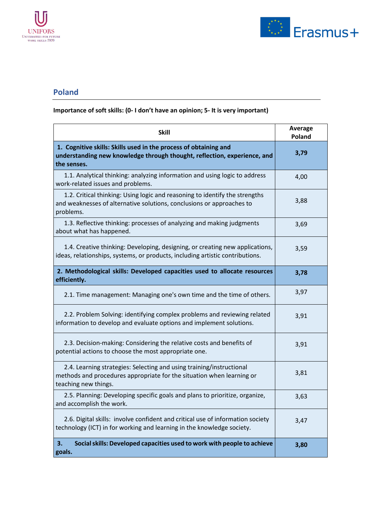



#### <span id="page-19-0"></span>**Poland**

| <b>Skill</b>                                                                                                                                                          | Average<br>Poland |
|-----------------------------------------------------------------------------------------------------------------------------------------------------------------------|-------------------|
| 1. Cognitive skills: Skills used in the process of obtaining and<br>understanding new knowledge through thought, reflection, experience, and<br>the senses.           | 3,79              |
| 1.1. Analytical thinking: analyzing information and using logic to address<br>work-related issues and problems.                                                       | 4,00              |
| 1.2. Critical thinking: Using logic and reasoning to identify the strengths<br>and weaknesses of alternative solutions, conclusions or approaches to<br>problems.     | 3,88              |
| 1.3. Reflective thinking: processes of analyzing and making judgments<br>about what has happened.                                                                     | 3,69              |
| 1.4. Creative thinking: Developing, designing, or creating new applications,<br>ideas, relationships, systems, or products, including artistic contributions.         | 3,59              |
| 2. Methodological skills: Developed capacities used to allocate resources<br>efficiently.                                                                             | 3,78              |
| 2.1. Time management: Managing one's own time and the time of others.                                                                                                 | 3,97              |
| 2.2. Problem Solving: identifying complex problems and reviewing related<br>information to develop and evaluate options and implement solutions.                      | 3,91              |
| 2.3. Decision-making: Considering the relative costs and benefits of<br>potential actions to choose the most appropriate one.                                         | 3,91              |
| 2.4. Learning strategies: Selecting and using training/instructional<br>methods and procedures appropriate for the situation when learning or<br>teaching new things. | 3,81              |
| 2.5. Planning: Developing specific goals and plans to prioritize, organize,<br>and accomplish the work.                                                               | 3,63              |
| 2.6. Digital skills: involve confident and critical use of information society<br>technology (ICT) in for working and learning in the knowledge society.              | 3,47              |
| Social skills: Developed capacities used to work with people to achieve<br>3.<br>goals.                                                                               | 3,80              |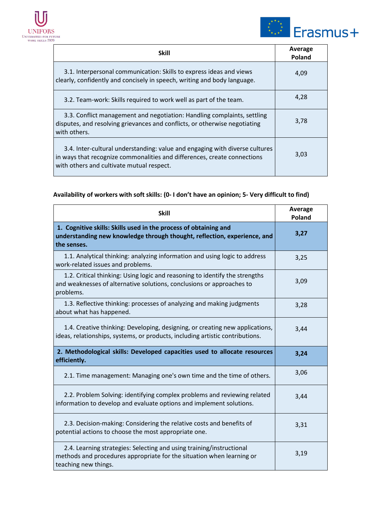



| <b>Skill</b>                                                                                                                                                                                         | Average<br>Poland |
|------------------------------------------------------------------------------------------------------------------------------------------------------------------------------------------------------|-------------------|
| 3.1. Interpersonal communication: Skills to express ideas and views<br>clearly, confidently and concisely in speech, writing and body language.                                                      | 4,09              |
| 3.2. Team-work: Skills required to work well as part of the team.                                                                                                                                    | 4,28              |
| 3.3. Conflict management and negotiation: Handling complaints, settling<br>disputes, and resolving grievances and conflicts, or otherwise negotiating<br>with others.                                | 3,78              |
| 3.4. Inter-cultural understanding: value and engaging with diverse cultures<br>in ways that recognize commonalities and differences, create connections<br>with others and cultivate mutual respect. | 3,03              |

| <b>Skill</b>                                                                                                                                                          | Average<br>Poland |
|-----------------------------------------------------------------------------------------------------------------------------------------------------------------------|-------------------|
| 1. Cognitive skills: Skills used in the process of obtaining and<br>understanding new knowledge through thought, reflection, experience, and<br>the senses.           | 3,27              |
| 1.1. Analytical thinking: analyzing information and using logic to address<br>work-related issues and problems.                                                       | 3,25              |
| 1.2. Critical thinking: Using logic and reasoning to identify the strengths<br>and weaknesses of alternative solutions, conclusions or approaches to<br>problems.     | 3,09              |
| 1.3. Reflective thinking: processes of analyzing and making judgments<br>about what has happened.                                                                     | 3,28              |
| 1.4. Creative thinking: Developing, designing, or creating new applications,<br>ideas, relationships, systems, or products, including artistic contributions.         | 3,44              |
| 2. Methodological skills: Developed capacities used to allocate resources<br>efficiently.                                                                             | 3,24              |
| 2.1. Time management: Managing one's own time and the time of others.                                                                                                 | 3,06              |
| 2.2. Problem Solving: identifying complex problems and reviewing related<br>information to develop and evaluate options and implement solutions.                      | 3,44              |
| 2.3. Decision-making: Considering the relative costs and benefits of<br>potential actions to choose the most appropriate one.                                         | 3,31              |
| 2.4. Learning strategies: Selecting and using training/instructional<br>methods and procedures appropriate for the situation when learning or<br>teaching new things. | 3,19              |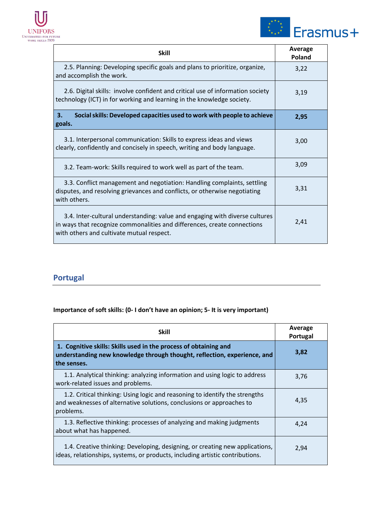



| <b>Skill</b>                                                                                                                                                                                         | Average<br>Poland |
|------------------------------------------------------------------------------------------------------------------------------------------------------------------------------------------------------|-------------------|
| 2.5. Planning: Developing specific goals and plans to prioritize, organize,<br>and accomplish the work.                                                                                              | 3,22              |
| 2.6. Digital skills: involve confident and critical use of information society<br>technology (ICT) in for working and learning in the knowledge society.                                             | 3,19              |
| Social skills: Developed capacities used to work with people to achieve<br>3.<br>goals.                                                                                                              | 2,95              |
| 3.1. Interpersonal communication: Skills to express ideas and views<br>clearly, confidently and concisely in speech, writing and body language.                                                      | 3,00              |
| 3.2. Team-work: Skills required to work well as part of the team.                                                                                                                                    | 3,09              |
| 3.3. Conflict management and negotiation: Handling complaints, settling<br>disputes, and resolving grievances and conflicts, or otherwise negotiating<br>with others.                                | 3,31              |
| 3.4. Inter-cultural understanding: value and engaging with diverse cultures<br>in ways that recognize commonalities and differences, create connections<br>with others and cultivate mutual respect. | 2,41              |

## <span id="page-21-0"></span>**Portugal**

| <b>Skill</b>                                                                                                                                                      | Average<br>Portugal |
|-------------------------------------------------------------------------------------------------------------------------------------------------------------------|---------------------|
| 1. Cognitive skills: Skills used in the process of obtaining and<br>understanding new knowledge through thought, reflection, experience, and<br>the senses.       | 3,82                |
| 1.1. Analytical thinking: analyzing information and using logic to address<br>work-related issues and problems.                                                   | 3,76                |
| 1.2. Critical thinking: Using logic and reasoning to identify the strengths<br>and weaknesses of alternative solutions, conclusions or approaches to<br>problems. | 4.35                |
| 1.3. Reflective thinking: processes of analyzing and making judgments<br>about what has happened.                                                                 | 4,24                |
| 1.4. Creative thinking: Developing, designing, or creating new applications,<br>ideas, relationships, systems, or products, including artistic contributions.     | 2,94                |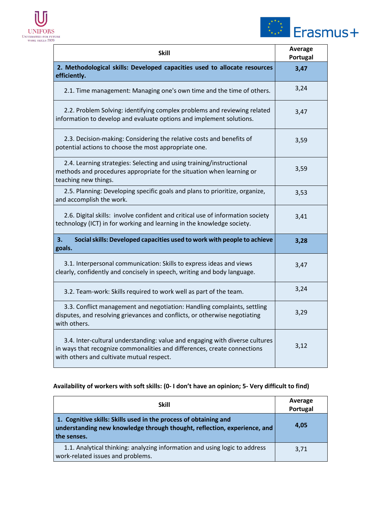



| <b>Skill</b>                                                                                                                                                                                         | Average<br>Portugal |
|------------------------------------------------------------------------------------------------------------------------------------------------------------------------------------------------------|---------------------|
| 2. Methodological skills: Developed capacities used to allocate resources<br>efficiently.                                                                                                            | 3,47                |
| 2.1. Time management: Managing one's own time and the time of others.                                                                                                                                | 3,24                |
| 2.2. Problem Solving: identifying complex problems and reviewing related<br>information to develop and evaluate options and implement solutions.                                                     | 3,47                |
| 2.3. Decision-making: Considering the relative costs and benefits of<br>potential actions to choose the most appropriate one.                                                                        | 3,59                |
| 2.4. Learning strategies: Selecting and using training/instructional<br>methods and procedures appropriate for the situation when learning or<br>teaching new things.                                | 3,59                |
| 2.5. Planning: Developing specific goals and plans to prioritize, organize,<br>and accomplish the work.                                                                                              | 3,53                |
| 2.6. Digital skills: involve confident and critical use of information society<br>technology (ICT) in for working and learning in the knowledge society.                                             | 3,41                |
| Social skills: Developed capacities used to work with people to achieve<br>3.<br>goals.                                                                                                              | 3,28                |
| 3.1. Interpersonal communication: Skills to express ideas and views<br>clearly, confidently and concisely in speech, writing and body language.                                                      | 3,47                |
| 3.2. Team-work: Skills required to work well as part of the team.                                                                                                                                    | 3,24                |
| 3.3. Conflict management and negotiation: Handling complaints, settling<br>disputes, and resolving grievances and conflicts, or otherwise negotiating<br>with others.                                | 3,29                |
| 3.4. Inter-cultural understanding: value and engaging with diverse cultures<br>in ways that recognize commonalities and differences, create connections<br>with others and cultivate mutual respect. | 3,12                |

| <b>Skill</b>                                                                                                                                                | Average<br>Portugal |
|-------------------------------------------------------------------------------------------------------------------------------------------------------------|---------------------|
| 1. Cognitive skills: Skills used in the process of obtaining and<br>understanding new knowledge through thought, reflection, experience, and<br>the senses. | 4.05                |
| 1.1. Analytical thinking: analyzing information and using logic to address<br>work-related issues and problems.                                             | 3,71                |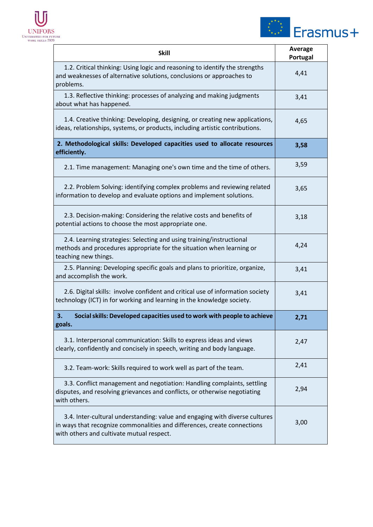



| <b>Skill</b>                                                                                                                                                                                         | <b>Average</b><br>Portugal |
|------------------------------------------------------------------------------------------------------------------------------------------------------------------------------------------------------|----------------------------|
| 1.2. Critical thinking: Using logic and reasoning to identify the strengths<br>and weaknesses of alternative solutions, conclusions or approaches to<br>problems.                                    | 4,41                       |
| 1.3. Reflective thinking: processes of analyzing and making judgments<br>about what has happened.                                                                                                    | 3,41                       |
| 1.4. Creative thinking: Developing, designing, or creating new applications,<br>ideas, relationships, systems, or products, including artistic contributions.                                        | 4,65                       |
| 2. Methodological skills: Developed capacities used to allocate resources<br>efficiently.                                                                                                            | 3,58                       |
| 2.1. Time management: Managing one's own time and the time of others.                                                                                                                                | 3,59                       |
| 2.2. Problem Solving: identifying complex problems and reviewing related<br>information to develop and evaluate options and implement solutions.                                                     | 3,65                       |
| 2.3. Decision-making: Considering the relative costs and benefits of<br>potential actions to choose the most appropriate one.                                                                        | 3,18                       |
| 2.4. Learning strategies: Selecting and using training/instructional<br>methods and procedures appropriate for the situation when learning or<br>teaching new things.                                | 4,24                       |
| 2.5. Planning: Developing specific goals and plans to prioritize, organize,<br>and accomplish the work.                                                                                              | 3,41                       |
| 2.6. Digital skills: involve confident and critical use of information society<br>technology (ICT) in for working and learning in the knowledge society.                                             | 3,41                       |
| Social skills: Developed capacities used to work with people to achieve<br>3.<br>goals.                                                                                                              | 2,71                       |
| 3.1. Interpersonal communication: Skills to express ideas and views<br>clearly, confidently and concisely in speech, writing and body language.                                                      | 2,47                       |
| 3.2. Team-work: Skills required to work well as part of the team.                                                                                                                                    | 2,41                       |
| 3.3. Conflict management and negotiation: Handling complaints, settling<br>disputes, and resolving grievances and conflicts, or otherwise negotiating<br>with others.                                | 2,94                       |
| 3.4. Inter-cultural understanding: value and engaging with diverse cultures<br>in ways that recognize commonalities and differences, create connections<br>with others and cultivate mutual respect. | 3,00                       |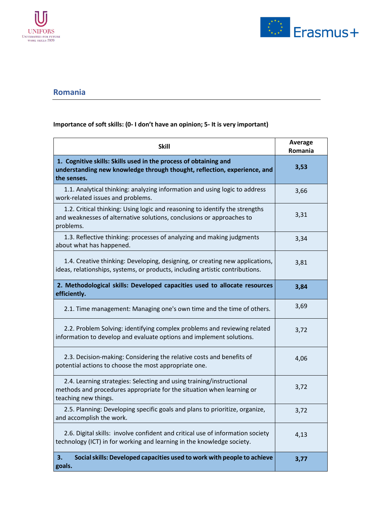



#### <span id="page-24-0"></span>**Romania**

| <b>Skill</b>                                                                                                                                                          | <b>Average</b><br>Romania |
|-----------------------------------------------------------------------------------------------------------------------------------------------------------------------|---------------------------|
| 1. Cognitive skills: Skills used in the process of obtaining and<br>understanding new knowledge through thought, reflection, experience, and<br>the senses.           | 3,53                      |
| 1.1. Analytical thinking: analyzing information and using logic to address<br>work-related issues and problems.                                                       | 3,66                      |
| 1.2. Critical thinking: Using logic and reasoning to identify the strengths<br>and weaknesses of alternative solutions, conclusions or approaches to<br>problems.     | 3,31                      |
| 1.3. Reflective thinking: processes of analyzing and making judgments<br>about what has happened.                                                                     | 3,34                      |
| 1.4. Creative thinking: Developing, designing, or creating new applications,<br>ideas, relationships, systems, or products, including artistic contributions.         | 3,81                      |
| 2. Methodological skills: Developed capacities used to allocate resources<br>efficiently.                                                                             | 3,84                      |
| 2.1. Time management: Managing one's own time and the time of others.                                                                                                 | 3,69                      |
| 2.2. Problem Solving: identifying complex problems and reviewing related<br>information to develop and evaluate options and implement solutions.                      | 3,72                      |
| 2.3. Decision-making: Considering the relative costs and benefits of<br>potential actions to choose the most appropriate one.                                         | 4,06                      |
| 2.4. Learning strategies: Selecting and using training/instructional<br>methods and procedures appropriate for the situation when learning or<br>teaching new things. | 3,72                      |
| 2.5. Planning: Developing specific goals and plans to prioritize, organize,<br>and accomplish the work.                                                               | 3,72                      |
| 2.6. Digital skills: involve confident and critical use of information society<br>technology (ICT) in for working and learning in the knowledge society.              | 4,13                      |
| Social skills: Developed capacities used to work with people to achieve<br>3.<br>goals.                                                                               | 3,77                      |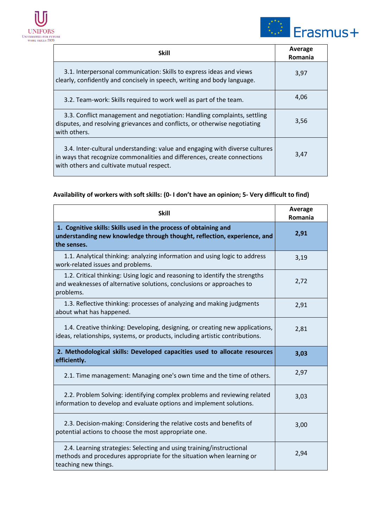



| <b>Skill</b>                                                                                                                                                                                         | Average<br>Romania |
|------------------------------------------------------------------------------------------------------------------------------------------------------------------------------------------------------|--------------------|
| 3.1. Interpersonal communication: Skills to express ideas and views<br>clearly, confidently and concisely in speech, writing and body language.                                                      | 3,97               |
| 3.2. Team-work: Skills required to work well as part of the team.                                                                                                                                    | 4,06               |
| 3.3. Conflict management and negotiation: Handling complaints, settling<br>disputes, and resolving grievances and conflicts, or otherwise negotiating<br>with others.                                | 3,56               |
| 3.4. Inter-cultural understanding: value and engaging with diverse cultures<br>in ways that recognize commonalities and differences, create connections<br>with others and cultivate mutual respect. | 3,47               |

| <b>Skill</b>                                                                                                                                                          | Average<br>Romania |
|-----------------------------------------------------------------------------------------------------------------------------------------------------------------------|--------------------|
| 1. Cognitive skills: Skills used in the process of obtaining and<br>understanding new knowledge through thought, reflection, experience, and<br>the senses.           | 2,91               |
| 1.1. Analytical thinking: analyzing information and using logic to address<br>work-related issues and problems.                                                       | 3,19               |
| 1.2. Critical thinking: Using logic and reasoning to identify the strengths<br>and weaknesses of alternative solutions, conclusions or approaches to<br>problems.     | 2,72               |
| 1.3. Reflective thinking: processes of analyzing and making judgments<br>about what has happened.                                                                     | 2,91               |
| 1.4. Creative thinking: Developing, designing, or creating new applications,<br>ideas, relationships, systems, or products, including artistic contributions.         | 2,81               |
| 2. Methodological skills: Developed capacities used to allocate resources<br>efficiently.                                                                             | 3,03               |
| 2.1. Time management: Managing one's own time and the time of others.                                                                                                 | 2,97               |
| 2.2. Problem Solving: identifying complex problems and reviewing related<br>information to develop and evaluate options and implement solutions.                      | 3,03               |
| 2.3. Decision-making: Considering the relative costs and benefits of<br>potential actions to choose the most appropriate one.                                         | 3,00               |
| 2.4. Learning strategies: Selecting and using training/instructional<br>methods and procedures appropriate for the situation when learning or<br>teaching new things. | 2,94               |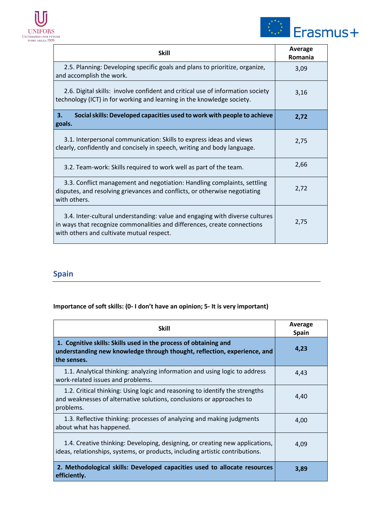



| <b>Skill</b>                                                                                                                                                                                         | Average<br>Romania |
|------------------------------------------------------------------------------------------------------------------------------------------------------------------------------------------------------|--------------------|
| 2.5. Planning: Developing specific goals and plans to prioritize, organize,<br>and accomplish the work.                                                                                              | 3,09               |
| 2.6. Digital skills: involve confident and critical use of information society<br>technology (ICT) in for working and learning in the knowledge society.                                             | 3,16               |
| 3.<br>Social skills: Developed capacities used to work with people to achieve<br>goals.                                                                                                              | 2,72               |
| 3.1. Interpersonal communication: Skills to express ideas and views<br>clearly, confidently and concisely in speech, writing and body language.                                                      | 2,75               |
| 3.2. Team-work: Skills required to work well as part of the team.                                                                                                                                    | 2,66               |
| 3.3. Conflict management and negotiation: Handling complaints, settling<br>disputes, and resolving grievances and conflicts, or otherwise negotiating<br>with others.                                | 2,72               |
| 3.4. Inter-cultural understanding: value and engaging with diverse cultures<br>in ways that recognize commonalities and differences, create connections<br>with others and cultivate mutual respect. | 2,75               |

## <span id="page-26-0"></span>**Spain**

| <b>Skill</b>                                                                                                                                                      | Average<br><b>Spain</b> |
|-------------------------------------------------------------------------------------------------------------------------------------------------------------------|-------------------------|
| 1. Cognitive skills: Skills used in the process of obtaining and<br>understanding new knowledge through thought, reflection, experience, and<br>the senses.       | 4,23                    |
| 1.1. Analytical thinking: analyzing information and using logic to address<br>work-related issues and problems.                                                   | 4,43                    |
| 1.2. Critical thinking: Using logic and reasoning to identify the strengths<br>and weaknesses of alternative solutions, conclusions or approaches to<br>problems. | 4,40                    |
| 1.3. Reflective thinking: processes of analyzing and making judgments<br>about what has happened.                                                                 | 4,00                    |
| 1.4. Creative thinking: Developing, designing, or creating new applications,<br>ideas, relationships, systems, or products, including artistic contributions.     | 4,09                    |
| 2. Methodological skills: Developed capacities used to allocate resources<br>efficiently.                                                                         | 3,89                    |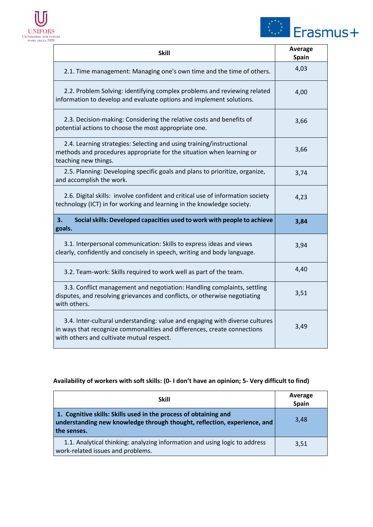



| Skill                                                                                                                                                                                                | <b>Average</b><br><b>Spain</b> |
|------------------------------------------------------------------------------------------------------------------------------------------------------------------------------------------------------|--------------------------------|
| 2.1. Time management: Managing one's own time and the time of others.                                                                                                                                | 4,03                           |
| 2.2. Problem Solving: identifying complex problems and reviewing related<br>information to develop and evaluate options and implement solutions.                                                     | 4,00                           |
| 2.3. Decision-making: Considering the relative costs and benefits of<br>potential actions to choose the most appropriate one.                                                                        | 3,66                           |
| 2.4. Learning strategies: Selecting and using training/instructional<br>methods and procedures appropriate for the situation when learning or<br>teaching new things.                                | 3,66                           |
| 2.5. Planning: Developing specific goals and plans to prioritize, organize,<br>and accomplish the work.                                                                                              | 3,74                           |
| 2.6. Digital skills: involve confident and critical use of information society<br>technology (ICT) in for working and learning in the knowledge society.                                             | 4,23                           |
| Social skills: Developed capacities used to work with people to achieve<br>З.<br>goals.                                                                                                              | 3,84                           |
| 3.1. Interpersonal communication: Skills to express ideas and views<br>clearly, confidently and concisely in speech, writing and body language.                                                      | 3,94                           |
| 3.2. Team-work: Skills required to work well as part of the team.                                                                                                                                    | 4,40                           |
| 3.3. Conflict management and negotiation: Handling complaints, settling<br>disputes, and resolving grievances and conflicts, or otherwise negotiating<br>with others.                                | 3,51                           |
| 3.4. Inter-cultural understanding: value and engaging with diverse cultures<br>in ways that recognize commonalities and differences, create connections<br>with others and cultivate mutual respect. | 3,49                           |

| <b>Skill</b>                                                                                                                                                | Average<br><b>Spain</b> |
|-------------------------------------------------------------------------------------------------------------------------------------------------------------|-------------------------|
| 1. Cognitive skills: Skills used in the process of obtaining and<br>understanding new knowledge through thought, reflection, experience, and<br>the senses. | 3,48                    |
| 1.1. Analytical thinking: analyzing information and using logic to address<br>work-related issues and problems.                                             | 3.51                    |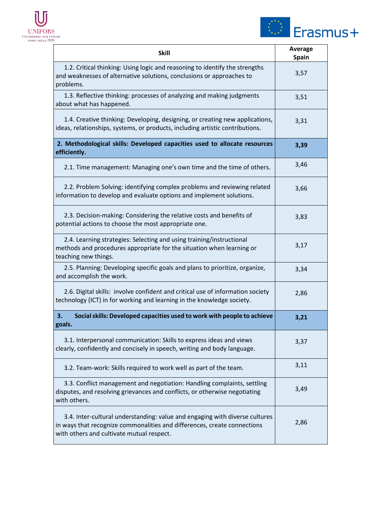



| <b>Skill</b>                                                                                                                                                                                         | <b>Average</b><br><b>Spain</b> |
|------------------------------------------------------------------------------------------------------------------------------------------------------------------------------------------------------|--------------------------------|
| 1.2. Critical thinking: Using logic and reasoning to identify the strengths<br>and weaknesses of alternative solutions, conclusions or approaches to<br>problems.                                    | 3,57                           |
| 1.3. Reflective thinking: processes of analyzing and making judgments<br>about what has happened.                                                                                                    | 3,51                           |
| 1.4. Creative thinking: Developing, designing, or creating new applications,<br>ideas, relationships, systems, or products, including artistic contributions.                                        | 3,31                           |
| 2. Methodological skills: Developed capacities used to allocate resources<br>efficiently.                                                                                                            | 3,39                           |
| 2.1. Time management: Managing one's own time and the time of others.                                                                                                                                | 3,46                           |
| 2.2. Problem Solving: identifying complex problems and reviewing related<br>information to develop and evaluate options and implement solutions.                                                     | 3,66                           |
| 2.3. Decision-making: Considering the relative costs and benefits of<br>potential actions to choose the most appropriate one.                                                                        | 3,83                           |
| 2.4. Learning strategies: Selecting and using training/instructional<br>methods and procedures appropriate for the situation when learning or<br>teaching new things.                                | 3,17                           |
| 2.5. Planning: Developing specific goals and plans to prioritize, organize,<br>and accomplish the work.                                                                                              | 3,34                           |
| 2.6. Digital skills: involve confident and critical use of information society<br>technology (ICT) in for working and learning in the knowledge society.                                             | 2,86                           |
| Social skills: Developed capacities used to work with people to achieve<br>3.<br>goals.                                                                                                              | 3,21                           |
| 3.1. Interpersonal communication: Skills to express ideas and views<br>clearly, confidently and concisely in speech, writing and body language.                                                      | 3,37                           |
| 3.2. Team-work: Skills required to work well as part of the team.                                                                                                                                    | 3,11                           |
| 3.3. Conflict management and negotiation: Handling complaints, settling<br>disputes, and resolving grievances and conflicts, or otherwise negotiating<br>with others.                                | 3,49                           |
| 3.4. Inter-cultural understanding: value and engaging with diverse cultures<br>in ways that recognize commonalities and differences, create connections<br>with others and cultivate mutual respect. | 2,86                           |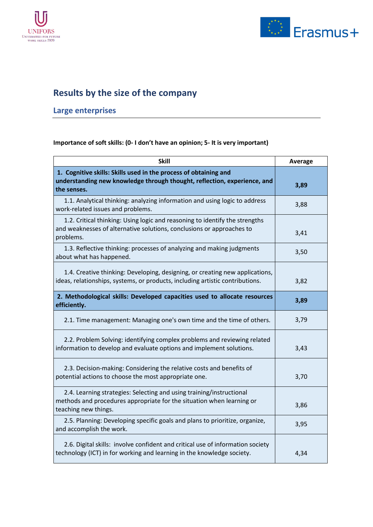



## <span id="page-29-0"></span>**Results by the size of the company**

## <span id="page-29-1"></span>**Large enterprises**

| <b>Skill</b>                                                                                                                                                          | Average |
|-----------------------------------------------------------------------------------------------------------------------------------------------------------------------|---------|
| 1. Cognitive skills: Skills used in the process of obtaining and<br>understanding new knowledge through thought, reflection, experience, and<br>the senses.           | 3,89    |
| 1.1. Analytical thinking: analyzing information and using logic to address<br>work-related issues and problems.                                                       | 3,88    |
| 1.2. Critical thinking: Using logic and reasoning to identify the strengths<br>and weaknesses of alternative solutions, conclusions or approaches to<br>problems.     | 3,41    |
| 1.3. Reflective thinking: processes of analyzing and making judgments<br>about what has happened.                                                                     | 3,50    |
| 1.4. Creative thinking: Developing, designing, or creating new applications,<br>ideas, relationships, systems, or products, including artistic contributions.         | 3,82    |
| 2. Methodological skills: Developed capacities used to allocate resources<br>efficiently.                                                                             | 3,89    |
| 2.1. Time management: Managing one's own time and the time of others.                                                                                                 | 3,79    |
| 2.2. Problem Solving: identifying complex problems and reviewing related<br>information to develop and evaluate options and implement solutions.                      | 3,43    |
| 2.3. Decision-making: Considering the relative costs and benefits of<br>potential actions to choose the most appropriate one.                                         | 3,70    |
| 2.4. Learning strategies: Selecting and using training/instructional<br>methods and procedures appropriate for the situation when learning or<br>teaching new things. | 3,86    |
| 2.5. Planning: Developing specific goals and plans to prioritize, organize,<br>and accomplish the work.                                                               | 3,95    |
| 2.6. Digital skills: involve confident and critical use of information society<br>technology (ICT) in for working and learning in the knowledge society.              | 4,34    |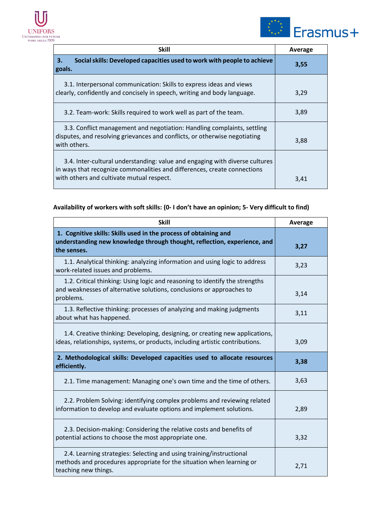



| <b>Skill</b>                                                                                                                                                                                         | Average |
|------------------------------------------------------------------------------------------------------------------------------------------------------------------------------------------------------|---------|
| Social skills: Developed capacities used to work with people to achieve<br>3.<br>goals.                                                                                                              | 3,55    |
| 3.1. Interpersonal communication: Skills to express ideas and views<br>clearly, confidently and concisely in speech, writing and body language.                                                      | 3,29    |
| 3.2. Team-work: Skills required to work well as part of the team.                                                                                                                                    | 3,89    |
| 3.3. Conflict management and negotiation: Handling complaints, settling<br>disputes, and resolving grievances and conflicts, or otherwise negotiating<br>with others.                                | 3,88    |
| 3.4. Inter-cultural understanding: value and engaging with diverse cultures<br>in ways that recognize commonalities and differences, create connections<br>with others and cultivate mutual respect. | 3,41    |

| <b>Skill</b>                                                                                                                                                          | Average |
|-----------------------------------------------------------------------------------------------------------------------------------------------------------------------|---------|
| 1. Cognitive skills: Skills used in the process of obtaining and<br>understanding new knowledge through thought, reflection, experience, and<br>the senses.           | 3,27    |
| 1.1. Analytical thinking: analyzing information and using logic to address<br>work-related issues and problems.                                                       | 3,23    |
| 1.2. Critical thinking: Using logic and reasoning to identify the strengths<br>and weaknesses of alternative solutions, conclusions or approaches to<br>problems.     | 3,14    |
| 1.3. Reflective thinking: processes of analyzing and making judgments<br>about what has happened.                                                                     | 3,11    |
| 1.4. Creative thinking: Developing, designing, or creating new applications,<br>ideas, relationships, systems, or products, including artistic contributions.         | 3,09    |
| 2. Methodological skills: Developed capacities used to allocate resources<br>efficiently.                                                                             | 3,38    |
| 2.1. Time management: Managing one's own time and the time of others.                                                                                                 | 3,63    |
| 2.2. Problem Solving: identifying complex problems and reviewing related<br>information to develop and evaluate options and implement solutions.                      | 2,89    |
| 2.3. Decision-making: Considering the relative costs and benefits of<br>potential actions to choose the most appropriate one.                                         | 3,32    |
| 2.4. Learning strategies: Selecting and using training/instructional<br>methods and procedures appropriate for the situation when learning or<br>teaching new things. | 2,71    |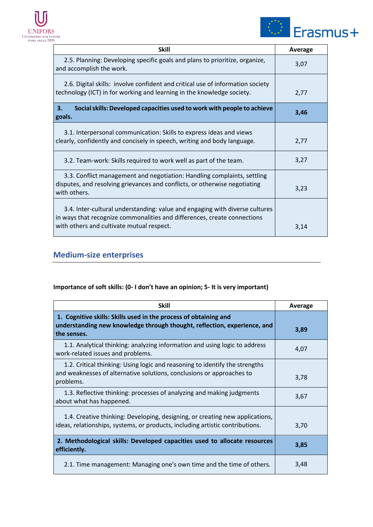



| <b>Skill</b>                                                                                                                                                                                         | Average |
|------------------------------------------------------------------------------------------------------------------------------------------------------------------------------------------------------|---------|
| 2.5. Planning: Developing specific goals and plans to prioritize, organize,<br>and accomplish the work.                                                                                              | 3,07    |
| 2.6. Digital skills: involve confident and critical use of information society<br>technology (ICT) in for working and learning in the knowledge society.                                             | 2,77    |
| Social skills: Developed capacities used to work with people to achieve<br>3.<br>goals.                                                                                                              | 3,46    |
| 3.1. Interpersonal communication: Skills to express ideas and views<br>clearly, confidently and concisely in speech, writing and body language.                                                      | 2,77    |
| 3.2. Team-work: Skills required to work well as part of the team.                                                                                                                                    | 3,27    |
| 3.3. Conflict management and negotiation: Handling complaints, settling<br>disputes, and resolving grievances and conflicts, or otherwise negotiating<br>with others.                                | 3,23    |
| 3.4. Inter-cultural understanding: value and engaging with diverse cultures<br>in ways that recognize commonalities and differences, create connections<br>with others and cultivate mutual respect. | 3,14    |

## <span id="page-31-0"></span>**Medium-size enterprises**

| <b>Skill</b>                                                                                                                                                      | Average |
|-------------------------------------------------------------------------------------------------------------------------------------------------------------------|---------|
| 1. Cognitive skills: Skills used in the process of obtaining and<br>understanding new knowledge through thought, reflection, experience, and<br>the senses.       | 3,89    |
| 1.1. Analytical thinking: analyzing information and using logic to address<br>work-related issues and problems.                                                   | 4,07    |
| 1.2. Critical thinking: Using logic and reasoning to identify the strengths<br>and weaknesses of alternative solutions, conclusions or approaches to<br>problems. | 3,78    |
| 1.3. Reflective thinking: processes of analyzing and making judgments<br>about what has happened.                                                                 | 3,67    |
| 1.4. Creative thinking: Developing, designing, or creating new applications,<br>ideas, relationships, systems, or products, including artistic contributions.     | 3,70    |
| 2. Methodological skills: Developed capacities used to allocate resources<br>efficiently.                                                                         | 3,85    |
| 2.1. Time management: Managing one's own time and the time of others.                                                                                             | 3,48    |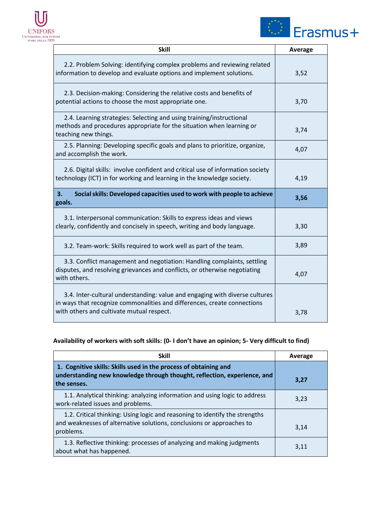



| <b>Skill</b>                                                                                                                                                                                         | <b>Average</b> |
|------------------------------------------------------------------------------------------------------------------------------------------------------------------------------------------------------|----------------|
| 2.2. Problem Solving: identifying complex problems and reviewing related<br>information to develop and evaluate options and implement solutions.                                                     | 3,52           |
| 2.3. Decision-making: Considering the relative costs and benefits of<br>potential actions to choose the most appropriate one.                                                                        | 3,70           |
| 2.4. Learning strategies: Selecting and using training/instructional<br>methods and procedures appropriate for the situation when learning or<br>teaching new things.                                | 3,74           |
| 2.5. Planning: Developing specific goals and plans to prioritize, organize,<br>and accomplish the work.                                                                                              | 4,07           |
| 2.6. Digital skills: involve confident and critical use of information society<br>technology (ICT) in for working and learning in the knowledge society.                                             | 4,19           |
| 3.<br>Social skills: Developed capacities used to work with people to achieve<br>goals.                                                                                                              | 3,56           |
| 3.1. Interpersonal communication: Skills to express ideas and views<br>clearly, confidently and concisely in speech, writing and body language.                                                      | 3,30           |
| 3.2. Team-work: Skills required to work well as part of the team.                                                                                                                                    | 3,89           |
| 3.3. Conflict management and negotiation: Handling complaints, settling<br>disputes, and resolving grievances and conflicts, or otherwise negotiating<br>with others.                                | 4,07           |
| 3.4. Inter-cultural understanding: value and engaging with diverse cultures<br>in ways that recognize commonalities and differences, create connections<br>with others and cultivate mutual respect. | 3,78           |

| <b>Skill</b>                                                                                                                                                      | Average |
|-------------------------------------------------------------------------------------------------------------------------------------------------------------------|---------|
| 1. Cognitive skills: Skills used in the process of obtaining and<br>understanding new knowledge through thought, reflection, experience, and<br>the senses.       | 3,27    |
| 1.1. Analytical thinking: analyzing information and using logic to address<br>work-related issues and problems.                                                   | 3,23    |
| 1.2. Critical thinking: Using logic and reasoning to identify the strengths<br>and weaknesses of alternative solutions, conclusions or approaches to<br>problems. | 3,14    |
| 1.3. Reflective thinking: processes of analyzing and making judgments<br>about what has happened.                                                                 | 3,11    |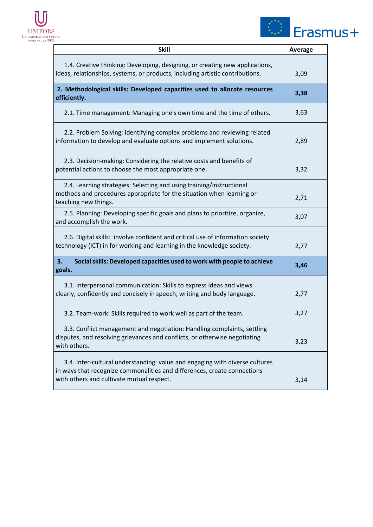



| <b>Skill</b>                                                                                                                                                                                         | Average |
|------------------------------------------------------------------------------------------------------------------------------------------------------------------------------------------------------|---------|
| 1.4. Creative thinking: Developing, designing, or creating new applications,<br>ideas, relationships, systems, or products, including artistic contributions.                                        | 3,09    |
| 2. Methodological skills: Developed capacities used to allocate resources<br>efficiently.                                                                                                            | 3,38    |
| 2.1. Time management: Managing one's own time and the time of others.                                                                                                                                | 3,63    |
| 2.2. Problem Solving: identifying complex problems and reviewing related<br>information to develop and evaluate options and implement solutions.                                                     | 2,89    |
| 2.3. Decision-making: Considering the relative costs and benefits of<br>potential actions to choose the most appropriate one.                                                                        | 3,32    |
| 2.4. Learning strategies: Selecting and using training/instructional<br>methods and procedures appropriate for the situation when learning or<br>teaching new things.                                | 2,71    |
| 2.5. Planning: Developing specific goals and plans to prioritize, organize,<br>and accomplish the work.                                                                                              | 3,07    |
| 2.6. Digital skills: involve confident and critical use of information society<br>technology (ICT) in for working and learning in the knowledge society.                                             | 2,77    |
| 3.<br>Social skills: Developed capacities used to work with people to achieve<br>goals.                                                                                                              | 3,46    |
| 3.1. Interpersonal communication: Skills to express ideas and views<br>clearly, confidently and concisely in speech, writing and body language.                                                      | 2,77    |
| 3.2. Team-work: Skills required to work well as part of the team.                                                                                                                                    | 3,27    |
| 3.3. Conflict management and negotiation: Handling complaints, settling<br>disputes, and resolving grievances and conflicts, or otherwise negotiating<br>with others.                                | 3,23    |
| 3.4. Inter-cultural understanding: value and engaging with diverse cultures<br>in ways that recognize commonalities and differences, create connections<br>with others and cultivate mutual respect. | 3,14    |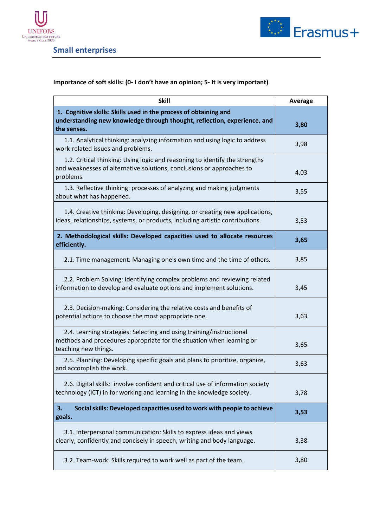



<span id="page-34-0"></span>**Small enterprises**

| <b>Skill</b>                                                                                                                                                          | Average |
|-----------------------------------------------------------------------------------------------------------------------------------------------------------------------|---------|
| 1. Cognitive skills: Skills used in the process of obtaining and<br>understanding new knowledge through thought, reflection, experience, and<br>the senses.           | 3,80    |
| 1.1. Analytical thinking: analyzing information and using logic to address<br>work-related issues and problems.                                                       | 3,98    |
| 1.2. Critical thinking: Using logic and reasoning to identify the strengths<br>and weaknesses of alternative solutions, conclusions or approaches to<br>problems.     | 4,03    |
| 1.3. Reflective thinking: processes of analyzing and making judgments<br>about what has happened.                                                                     | 3,55    |
| 1.4. Creative thinking: Developing, designing, or creating new applications,<br>ideas, relationships, systems, or products, including artistic contributions.         | 3,53    |
| 2. Methodological skills: Developed capacities used to allocate resources<br>efficiently.                                                                             | 3,65    |
| 2.1. Time management: Managing one's own time and the time of others.                                                                                                 | 3,85    |
| 2.2. Problem Solving: identifying complex problems and reviewing related<br>information to develop and evaluate options and implement solutions.                      | 3,45    |
| 2.3. Decision-making: Considering the relative costs and benefits of<br>potential actions to choose the most appropriate one.                                         | 3,63    |
| 2.4. Learning strategies: Selecting and using training/instructional<br>methods and procedures appropriate for the situation when learning or<br>teaching new things. | 3,65    |
| 2.5. Planning: Developing specific goals and plans to prioritize, organize,<br>and accomplish the work.                                                               | 3,63    |
| 2.6. Digital skills: involve confident and critical use of information society<br>technology (ICT) in for working and learning in the knowledge society.              | 3,78    |
| Social skills: Developed capacities used to work with people to achieve<br>3.<br>goals.                                                                               | 3,53    |
| 3.1. Interpersonal communication: Skills to express ideas and views<br>clearly, confidently and concisely in speech, writing and body language.                       | 3,38    |
| 3.2. Team-work: Skills required to work well as part of the team.                                                                                                     | 3,80    |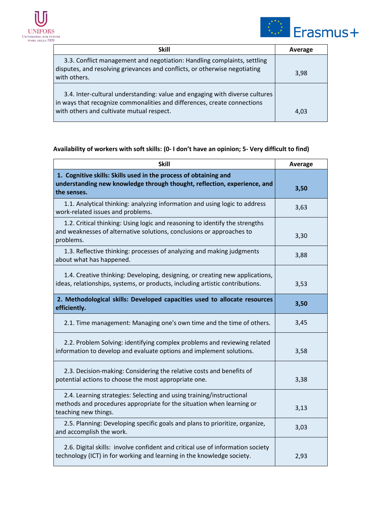



| <b>Skill</b>                                                                                                                                                                                         | Average |
|------------------------------------------------------------------------------------------------------------------------------------------------------------------------------------------------------|---------|
| 3.3. Conflict management and negotiation: Handling complaints, settling<br>disputes, and resolving grievances and conflicts, or otherwise negotiating<br>with others.                                | 3,98    |
| 3.4. Inter-cultural understanding: value and engaging with diverse cultures<br>in ways that recognize commonalities and differences, create connections<br>with others and cultivate mutual respect. | 4.03    |

| Skill                                                                                                                                                                 | <b>Average</b> |
|-----------------------------------------------------------------------------------------------------------------------------------------------------------------------|----------------|
| 1. Cognitive skills: Skills used in the process of obtaining and<br>understanding new knowledge through thought, reflection, experience, and<br>the senses.           | 3,50           |
| 1.1. Analytical thinking: analyzing information and using logic to address<br>work-related issues and problems.                                                       | 3,63           |
| 1.2. Critical thinking: Using logic and reasoning to identify the strengths<br>and weaknesses of alternative solutions, conclusions or approaches to<br>problems.     | 3,30           |
| 1.3. Reflective thinking: processes of analyzing and making judgments<br>about what has happened.                                                                     | 3,88           |
| 1.4. Creative thinking: Developing, designing, or creating new applications,<br>ideas, relationships, systems, or products, including artistic contributions.         | 3,53           |
| 2. Methodological skills: Developed capacities used to allocate resources<br>efficiently.                                                                             | 3,50           |
| 2.1. Time management: Managing one's own time and the time of others.                                                                                                 | 3,45           |
| 2.2. Problem Solving: identifying complex problems and reviewing related<br>information to develop and evaluate options and implement solutions.                      | 3,58           |
| 2.3. Decision-making: Considering the relative costs and benefits of<br>potential actions to choose the most appropriate one.                                         | 3,38           |
| 2.4. Learning strategies: Selecting and using training/instructional<br>methods and procedures appropriate for the situation when learning or<br>teaching new things. | 3,13           |
| 2.5. Planning: Developing specific goals and plans to prioritize, organize,<br>and accomplish the work.                                                               | 3,03           |
| 2.6. Digital skills: involve confident and critical use of information society<br>technology (ICT) in for working and learning in the knowledge society.              | 2,93           |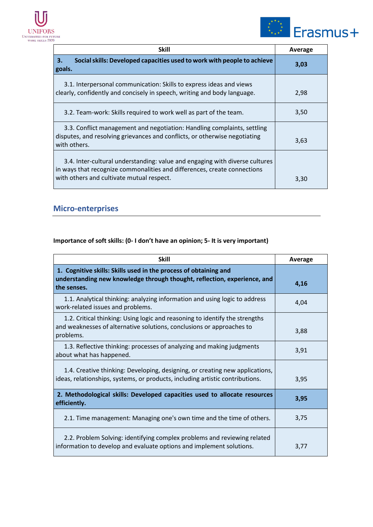



| <b>Skill</b>                                                                                                                                                                                         | Average |
|------------------------------------------------------------------------------------------------------------------------------------------------------------------------------------------------------|---------|
| Social skills: Developed capacities used to work with people to achieve<br>3.<br>goals.                                                                                                              | 3,03    |
| 3.1. Interpersonal communication: Skills to express ideas and views<br>clearly, confidently and concisely in speech, writing and body language.                                                      | 2,98    |
| 3.2. Team-work: Skills required to work well as part of the team.                                                                                                                                    | 3,50    |
| 3.3. Conflict management and negotiation: Handling complaints, settling<br>disputes, and resolving grievances and conflicts, or otherwise negotiating<br>with others.                                | 3,63    |
| 3.4. Inter-cultural understanding: value and engaging with diverse cultures<br>in ways that recognize commonalities and differences, create connections<br>with others and cultivate mutual respect. | 3,30    |

## <span id="page-36-0"></span>**Micro-enterprises**

| <b>Skill</b>                                                                                                                                                      | Average |
|-------------------------------------------------------------------------------------------------------------------------------------------------------------------|---------|
| 1. Cognitive skills: Skills used in the process of obtaining and<br>understanding new knowledge through thought, reflection, experience, and<br>the senses.       | 4,16    |
| 1.1. Analytical thinking: analyzing information and using logic to address<br>work-related issues and problems.                                                   | 4,04    |
| 1.2. Critical thinking: Using logic and reasoning to identify the strengths<br>and weaknesses of alternative solutions, conclusions or approaches to<br>problems. | 3,88    |
| 1.3. Reflective thinking: processes of analyzing and making judgments<br>about what has happened.                                                                 | 3,91    |
| 1.4. Creative thinking: Developing, designing, or creating new applications,<br>ideas, relationships, systems, or products, including artistic contributions.     | 3,95    |
| 2. Methodological skills: Developed capacities used to allocate resources<br>efficiently.                                                                         | 3,95    |
| 2.1. Time management: Managing one's own time and the time of others.                                                                                             | 3,75    |
| 2.2. Problem Solving: identifying complex problems and reviewing related<br>information to develop and evaluate options and implement solutions.                  | 3,77    |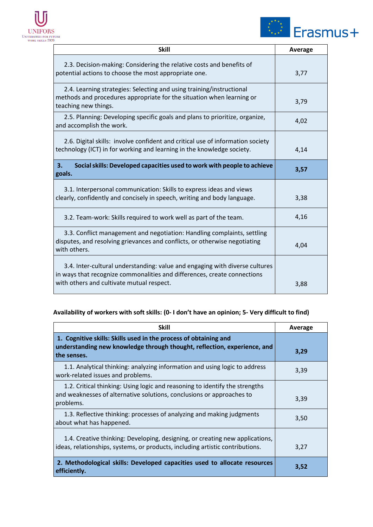



| <b>Skill</b>                                                                                                                                                                                         | Average |
|------------------------------------------------------------------------------------------------------------------------------------------------------------------------------------------------------|---------|
| 2.3. Decision-making: Considering the relative costs and benefits of<br>potential actions to choose the most appropriate one.                                                                        | 3,77    |
| 2.4. Learning strategies: Selecting and using training/instructional<br>methods and procedures appropriate for the situation when learning or<br>teaching new things.                                | 3,79    |
| 2.5. Planning: Developing specific goals and plans to prioritize, organize,<br>and accomplish the work.                                                                                              | 4,02    |
| 2.6. Digital skills: involve confident and critical use of information society<br>technology (ICT) in for working and learning in the knowledge society.                                             | 4,14    |
| 3.<br>Social skills: Developed capacities used to work with people to achieve<br>goals.                                                                                                              | 3,57    |
| 3.1. Interpersonal communication: Skills to express ideas and views<br>clearly, confidently and concisely in speech, writing and body language.                                                      | 3,38    |
| 3.2. Team-work: Skills required to work well as part of the team.                                                                                                                                    | 4,16    |
| 3.3. Conflict management and negotiation: Handling complaints, settling<br>disputes, and resolving grievances and conflicts, or otherwise negotiating<br>with others.                                | 4,04    |
| 3.4. Inter-cultural understanding: value and engaging with diverse cultures<br>in ways that recognize commonalities and differences, create connections<br>with others and cultivate mutual respect. | 3,88    |

| <b>Skill</b>                                                                                                                                                      | Average |
|-------------------------------------------------------------------------------------------------------------------------------------------------------------------|---------|
| 1. Cognitive skills: Skills used in the process of obtaining and<br>understanding new knowledge through thought, reflection, experience, and<br>the senses.       | 3,29    |
| 1.1. Analytical thinking: analyzing information and using logic to address<br>work-related issues and problems.                                                   | 3,39    |
| 1.2. Critical thinking: Using logic and reasoning to identify the strengths<br>and weaknesses of alternative solutions, conclusions or approaches to<br>problems. | 3,39    |
| 1.3. Reflective thinking: processes of analyzing and making judgments<br>about what has happened.                                                                 | 3,50    |
| 1.4. Creative thinking: Developing, designing, or creating new applications,<br>ideas, relationships, systems, or products, including artistic contributions.     | 3,27    |
| 2. Methodological skills: Developed capacities used to allocate resources<br>efficiently.                                                                         | 3,52    |